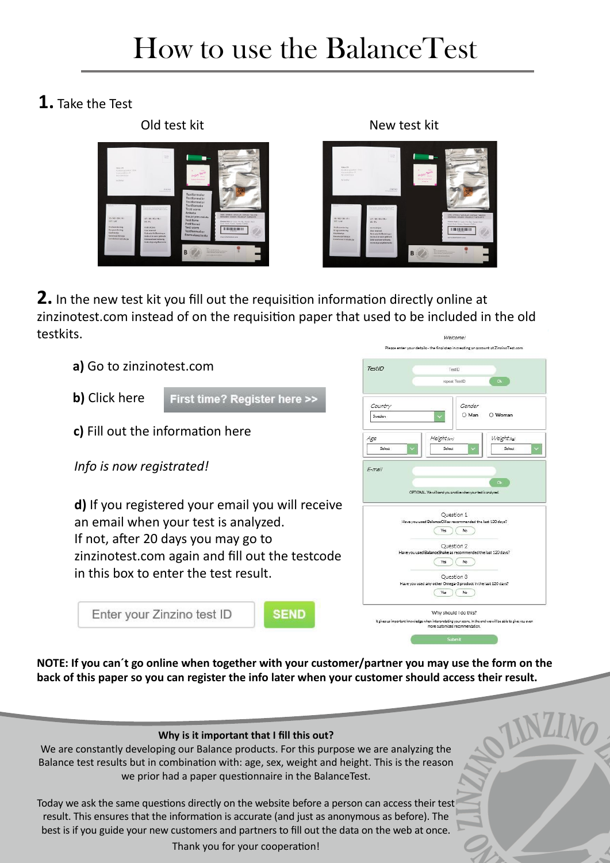# How to use the BalanceTest

#### **1.** Take the Test





**2.** In the new test kit you fill out the requisition information directly online at zinzinotest.com instead of on the requisition paper that used to be included in the old testkits.



**NOTE: If you can´t go online when together with your customer/partner you may use the form on the back of this paper so you can register the info later when your customer should access their result.**

#### **Why is it important that I fill this out?**

We are constantly developing our Balance products. For this purpose we are analyzing the Balance test results but in combination with: age, sex, weight and height. This is the reason we prior had a paper questionnaire in the BalanceTest.

Today we ask the same questions directly on the website before a person can access their test result. This ensures that the information is accurate (and just as anonymous as before). The best is if you guide your new customers and partners to fill out the data on the web at once.

Thank you for your cooperation!